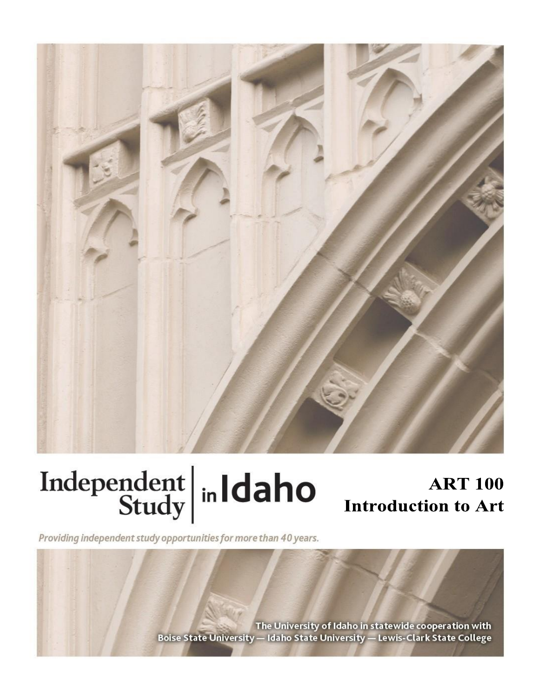

# Independent  $\left|\frac{\text{ind}}{\text{Study}}\right|$  in Idaho

## **ART 100 Introduction to Art**

Providing independent study opportunities for more than 40 years.

The University of Idaho in statewide cooperation with Boise State University - Idaho State University - Lewis-Clark State College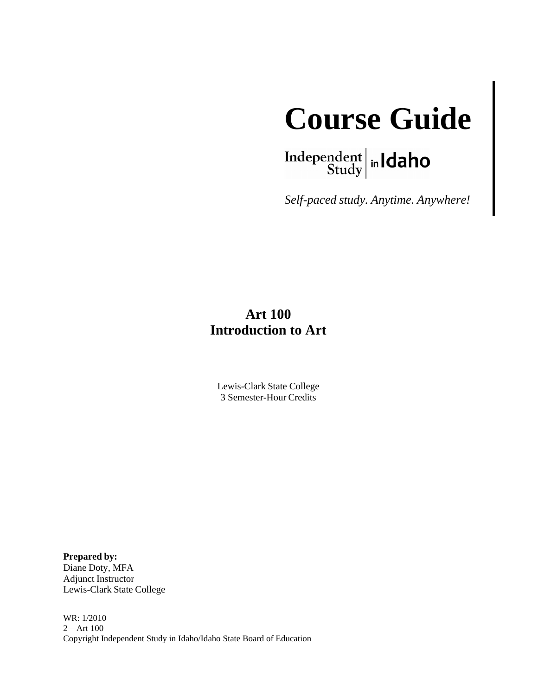

Independent  $\left|\frac{\text{independent}}{\text{Study}}\right|$  in  $\text{Idaho}$ 

*Self-paced study. Anytime. Anywhere!*

## **Art 100 Introduction to Art**

Lewis-Clark State College 3 Semester-Hour Credits

**Prepared by:**  Diane Doty, MFA Adjunct Instructor Lewis-Clark State College

WR: 1/2010 2—Art 100 Copyright Independent Study in Idaho/Idaho State Board of Education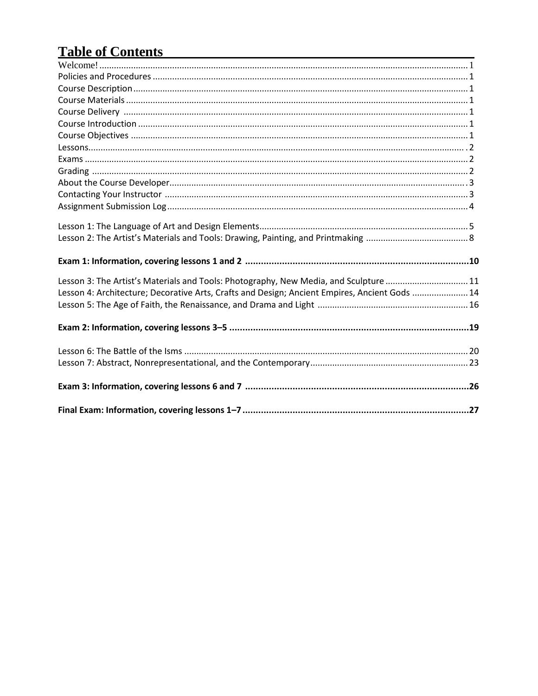## **Table of Contents**

| Lesson 3: The Artist's Materials and Tools: Photography, New Media, and Sculpture 11          |
|-----------------------------------------------------------------------------------------------|
| Lesson 4: Architecture; Decorative Arts, Crafts and Design; Ancient Empires, Ancient Gods  14 |
|                                                                                               |
|                                                                                               |
|                                                                                               |
|                                                                                               |
|                                                                                               |
|                                                                                               |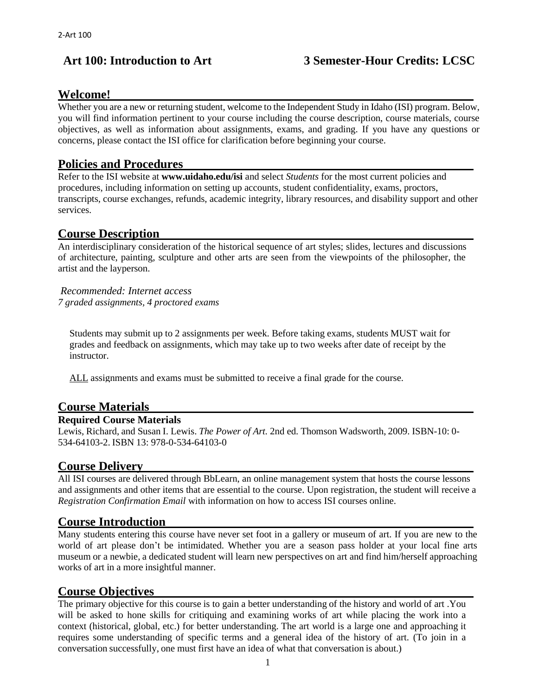#### **Welcome!**

Whether you are a new or returning student, welcome to the Independent Study in Idaho (ISI) program. Below, you will find information pertinent to your course including the course description, course materials, course objectives, as well as information about assignments, exams, and grading. If you have any questions or concerns, please contact the ISI office for clarification before beginning your course.

#### **Policies and Procedures**

Refer to the ISI website at **www.uidaho.edu/isi** and select *Students* for the most current policies and procedures, including information on setting up accounts, student confidentiality, exams, proctors, transcripts, course exchanges, refunds, academic integrity, library resources, and disability support and other services.

#### **Course Description**

An interdisciplinary consideration of the historical sequence of art styles; slides, lectures and discussions of architecture, painting, sculpture and other arts are seen from the viewpoints of the philosopher, the artist and the layperson.

*Recommended: Internet access 7 graded assignments, 4 proctored exams*

Students may submit up to 2 assignments per week. Before taking exams, students MUST wait for grades and feedback on assignments, which may take up to two weeks after date of receipt by the **instructor** 

ALL assignments and exams must be submitted to receive a final grade for the course.

#### **Course Materials**

#### **Required Course Materials**

Lewis, Richard, and Susan I. Lewis. *The Power of Art.* 2nd ed. Thomson Wadsworth, 2009. ISBN-10: 0- 534-64103-2. ISBN 13: 978-0-534-64103-0

#### **Course Delivery**

All ISI courses are delivered through BbLearn, an online management system that hosts the course lessons and assignments and other items that are essential to the course. Upon registration, the student will receive a *Registration Confirmation Email* with information on how to access ISI courses online.

#### **Course Introduction**

Many students entering this course have never set foot in a gallery or museum of art. If you are new to the world of art please don't be intimidated. Whether you are a season pass holder at your local fine arts museum or a newbie, a dedicated student will learn new perspectives on art and find him/herself approaching works of art in a more insightful manner.

#### **Course Objectives**

The primary objective for this course is to gain a better understanding of the history and world of art .You will be asked to hone skills for critiquing and examining works of art while placing the work into a context (historical, global, etc.) for better understanding. The art world is a large one and approaching it requires some understanding of specific terms and a general idea of the history of art. (To join in a conversation successfully, one must first have an idea of what that conversation is about.)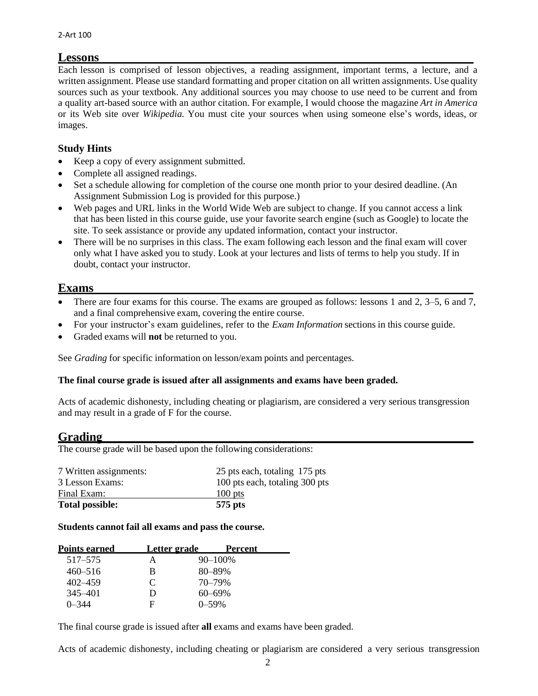#### **Lessons**

Each lesson is comprised of lesson objectives, a reading assignment, important terms, a lecture, and a written assignment. Please use standard formatting and proper citation on all written assignments. Use quality sources such as your textbook. Any additional sources you may choose to use need to be current and from a quality art-based source with an author citation. For example, I would choose the magazine *Art in America* or its Web site over *Wikipedia.* You must cite your sources when using someone else's words, ideas, or images.

#### **Study Hints**

- Keep a copy of every assignment submitted.
- Complete all assigned readings.
- Set a schedule allowing for completion of the course one month prior to your desired deadline. (An Assignment Submission Log is provided for this purpose.)
- Web pages and URL links in the World Wide Web are subject to change. If you cannot access a link that has been listed in this course guide, use your favorite search engine (such as Google) to locate the site. To seek assistance or provide any updated information, contact your instructor.
- There will be no surprises in this class. The exam following each lesson and the final exam will cover only what I have asked you to study. Look at your lectures and lists of terms to help you study. If in doubt, contact your instructor.

#### **Exams**

- There are four exams for this course. The exams are grouped as follows: lessons 1 and 2, 3–5, 6 and 7, and a final comprehensive exam, covering the entire course.
- For your instructor's exam guidelines, refer to the *Exam Information* sections in this course guide.
- Graded exams will **not** be returned to you.

See *Grading* for specific information on lesson/exam points and percentages.

#### **The final course grade is issued after all assignments and exams have been graded.**

Acts of academic dishonesty, including cheating or plagiarism, are considered a very serious transgression and may result in a grade of F for the course.

#### **Grading**

The course grade will be based upon the following considerations:

| 7 Written assignments: | 25 pts each, totaling 175 pts  |
|------------------------|--------------------------------|
| 3 Lesson Exams:        | 100 pts each, totaling 300 pts |
| Final Exam:            | $100$ pts                      |
| <b>Total possible:</b> | 575 pts                        |

#### **Students cannot fail all exams and pass the course.**

| <b>Points earned</b> | Letter grade | Percent      |
|----------------------|--------------|--------------|
| 517–575              | А            | $90 - 100\%$ |
| $460 - 516$          | В            | 80-89%       |
| 402–459              | C            | 70–79%       |
| 345–401              | Ð            | $60 - 69\%$  |
| 0–344                | F            | 0–59%        |

The final course grade is issued after **all** exams and exams have been graded.

Acts of academic dishonesty, including cheating or plagiarism are considered a very serious transgression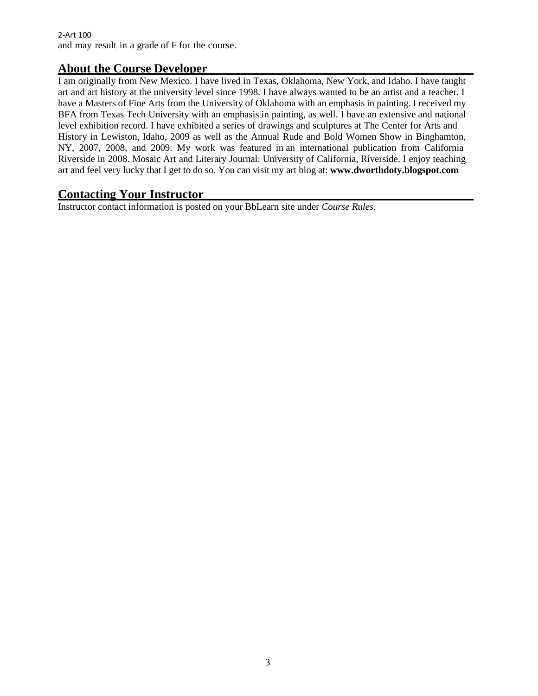#### 2-Art 100 and may result in a grade of F for the course.

#### **About the Course Developer**

I am originally from New Mexico. I have lived in Texas, Oklahoma, New York, and Idaho. I have taught art and art history at the university level since 1998. I have always wanted to be an artist and a teacher. I have a Masters of Fine Arts from the University of Oklahoma with an emphasis in painting. I received my BFA from Texas Tech University with an emphasis in painting, as well. I have an extensive and national level exhibition record. I have exhibited a series of drawings and sculptures at The Center for Arts and History in Lewiston, Idaho, 2009 as well as the Annual Rude and Bold Women Show in Binghamton, NY, 2007, 2008, and 2009. My work was featured in an international publication from California Riverside in 2008. Mosaic Art and Literary Journal: University of California, Riverside. I enjoy teaching art and feel very lucky that I get to do so. You can visit my art blog at: **[www.dworthdoty.blogspot.com](http://www.dworthdoty.blogspot.com/)**

#### **Contacting Your Instructor**

Instructor contact information is posted on your BbLearn site under *Course Rules.*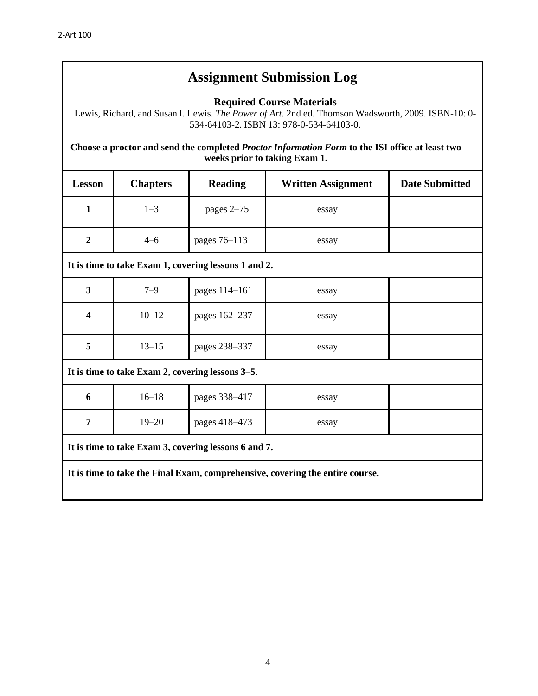## **Assignment Submission Log**

**Required Course Materials**

Lewis, Richard, and Susan I. Lewis. *The Power of Art.* 2nd ed. Thomson Wadsworth, 2009. ISBN-10: 0- 534-64103-2. ISBN 13: 978-0-534-64103-0.

**Choose a proctor and send the completed** *Proctor Information Form* **to the ISI office at least two weeks prior to taking Exam 1.**

| <b>Lesson</b>                                                                 | <b>Chapters</b> | <b>Reading</b> | <b>Written Assignment</b> | <b>Date Submitted</b> |  |
|-------------------------------------------------------------------------------|-----------------|----------------|---------------------------|-----------------------|--|
| $\mathbf{1}$                                                                  | $1 - 3$         | pages 2-75     | essay                     |                       |  |
| $\overline{2}$                                                                | $4 - 6$         | pages 76-113   | essay                     |                       |  |
| It is time to take Exam 1, covering lessons 1 and 2.                          |                 |                |                           |                       |  |
| $\overline{3}$                                                                | $7 - 9$         | pages 114-161  | essay                     |                       |  |
| $\overline{\mathbf{4}}$                                                       | $10 - 12$       | pages 162-237  | essay                     |                       |  |
| 5                                                                             | $13 - 15$       | pages 238-337  | essay                     |                       |  |
| It is time to take Exam 2, covering lessons 3–5.                              |                 |                |                           |                       |  |
| 6                                                                             | $16 - 18$       | pages 338-417  | essay                     |                       |  |
| 7                                                                             | $19 - 20$       | pages 418-473  | essay                     |                       |  |
| It is time to take Exam 3, covering lessons 6 and 7.                          |                 |                |                           |                       |  |
| It is time to take the Final Exam, comprehensive, covering the entire course. |                 |                |                           |                       |  |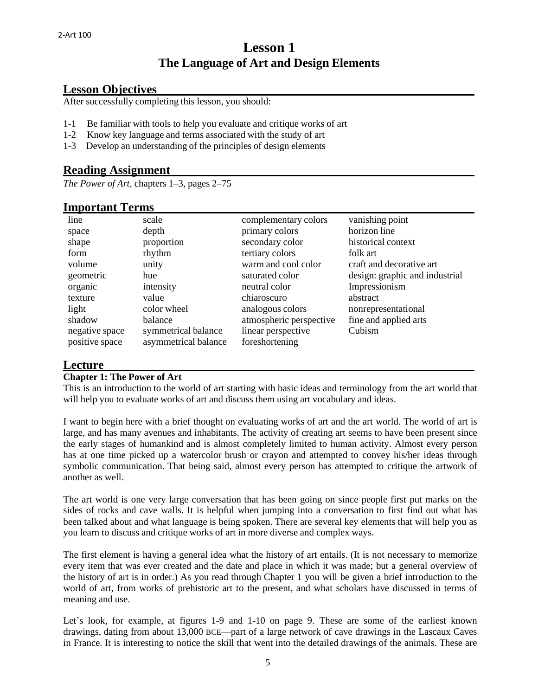### **Lesson 1 The Language of Art and Design Elements**

#### **Lesson Objectives**

After successfully completing this lesson, you should:

- 1-1 Be familiar with tools to help you evaluate and critique works of art
- 1-2 Know key language and terms associated with the study of art
- 1-3 Develop an understanding of the principles of design elements

#### **Reading Assignment**

*The Power of Art,* chapters 1–3, pages 2–75

#### **Important Terms**

| line           | scale                | complementary colors    | vanishing point                |
|----------------|----------------------|-------------------------|--------------------------------|
| space          | depth                | primary colors          | horizon line                   |
| shape          | proportion           | secondary color         | historical context             |
| form           | rhythm               | tertiary colors         | folk art                       |
| volume         | unity                | warm and cool color     | craft and decorative art       |
| geometric      | hue                  | saturated color         | design: graphic and industrial |
| organic        | intensity            | neutral color           | Impressionism                  |
| texture        | value                | chiaroscuro             | abstract                       |
| light          | color wheel          | analogous colors        | nonrepresentational            |
| shadow         | balance              | atmospheric perspective | fine and applied arts          |
| negative space | symmetrical balance  | linear perspective      | Cubism                         |
| positive space | asymmetrical balance | foreshortening          |                                |

#### **Lecture**

#### **Chapter 1: The Power of Art**

This is an introduction to the world of art starting with basic ideas and terminology from the art world that will help you to evaluate works of art and discuss them using art vocabulary and ideas.

I want to begin here with a brief thought on evaluating works of art and the art world. The world of art is large, and has many avenues and inhabitants. The activity of creating art seems to have been present since the early stages of humankind and is almost completely limited to human activity. Almost every person has at one time picked up a watercolor brush or crayon and attempted to convey his/her ideas through symbolic communication. That being said, almost every person has attempted to critique the artwork of another as well.

The art world is one very large conversation that has been going on since people first put marks on the sides of rocks and cave walls. It is helpful when jumping into a conversation to first find out what has been talked about and what language is being spoken. There are several key elements that will help you as you learn to discuss and critique works of art in more diverse and complex ways.

The first element is having a general idea what the history of art entails. (It is not necessary to memorize every item that was ever created and the date and place in which it was made; but a general overview of the history of art is in order.) As you read through Chapter 1 you will be given a brief introduction to the world of art, from works of prehistoric art to the present, and what scholars have discussed in terms of meaning and use.

Let's look, for example, at figures 1-9 and 1-10 on page 9. These are some of the earliest known drawings, dating from about 13,000 BCE—part of a large network of cave drawings in the Lascaux Caves in France. It is interesting to notice the skill that went into the detailed drawings of the animals. These are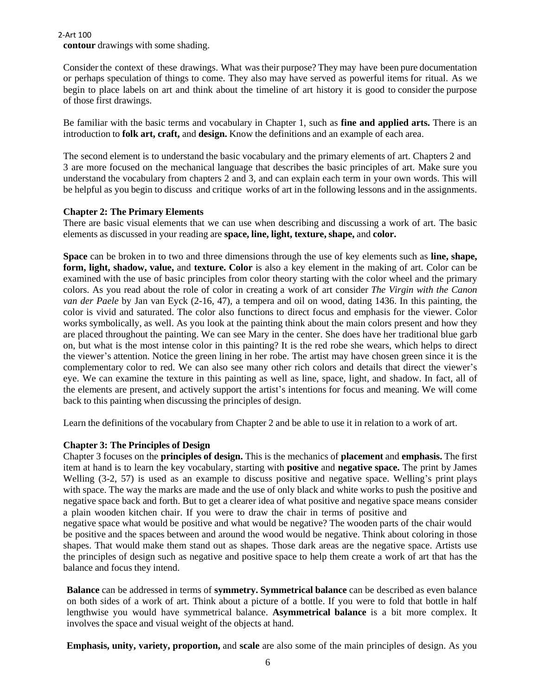2-Art 100

**contour** drawings with some shading.

Consider the context of these drawings. What was their purpose? They may have been pure documentation or perhaps speculation of things to come. They also may have served as powerful items for ritual. As we begin to place labels on art and think about the timeline of art history it is good to consider the purpose of those first drawings.

Be familiar with the basic terms and vocabulary in Chapter 1, such as **fine and applied arts.** There is an introduction to **folk art, craft,** and **design.** Know the definitions and an example of each area.

The second element is to understand the basic vocabulary and the primary elements of art. Chapters 2 and 3 are more focused on the mechanical language that describes the basic principles of art. Make sure you understand the vocabulary from chapters 2 and 3, and can explain each term in your own words. This will be helpful as you begin to discuss and critique works of art in the following lessons and in the assignments.

#### **Chapter 2: The Primary Elements**

There are basic visual elements that we can use when describing and discussing a work of art. The basic elements as discussed in your reading are **space, line, light, texture, shape,** and **color.**

**Space** can be broken in to two and three dimensions through the use of key elements such as **line, shape, form, light, shadow, value,** and **texture. Color** is also a key element in the making of art. Color can be examined with the use of basic principles from color theory starting with the color wheel and the primary colors. As you read about the role of color in creating a work of art consider *The Virgin with the Canon van der Paele* by Jan van Eyck (2-16, 47), a tempera and oil on wood, dating 1436. In this painting, the color is vivid and saturated. The color also functions to direct focus and emphasis for the viewer. Color works symbolically, as well. As you look at the painting think about the main colors present and how they are placed throughout the painting. We can see Mary in the center. She does have her traditional blue garb on, but what is the most intense color in this painting? It is the red robe she wears, which helps to direct the viewer's attention. Notice the green lining in her robe. The artist may have chosen green since it is the complementary color to red. We can also see many other rich colors and details that direct the viewer's eye. We can examine the texture in this painting as well as line, space, light, and shadow. In fact, all of the elements are present, and actively support the artist's intentions for focus and meaning. We will come back to this painting when discussing the principles of design.

Learn the definitions of the vocabulary from Chapter 2 and be able to use it in relation to a work of art.

#### **Chapter 3: The Principles of Design**

Chapter 3 focuses on the **principles of design.** This is the mechanics of **placement** and **emphasis.** The first item at hand is to learn the key vocabulary, starting with **positive** and **negative space.** The print by James Welling (3-2, 57) is used as an example to discuss positive and negative space. Welling's print plays with space. The way the marks are made and the use of only black and white works to push the positive and negative space back and forth. But to get a clearer idea of what positive and negative space means consider a plain wooden kitchen chair. If you were to draw the chair in terms of positive and negative space what would be positive and what would be negative? The wooden parts of the chair would be positive and the spaces between and around the wood would be negative. Think about coloring in those shapes. That would make them stand out as shapes. Those dark areas are the negative space. Artists use the principles of design such as negative and positive space to help them create a work of art that has the balance and focus they intend.

**Balance** can be addressed in terms of **symmetry. Symmetrical balance** can be described as even balance on both sides of a work of art. Think about a picture of a bottle. If you were to fold that bottle in half lengthwise you would have symmetrical balance. **Asymmetrical balance** is a bit more complex. It involves the space and visual weight of the objects at hand.

**Emphasis, unity, variety, proportion,** and **scale** are also some of the main principles of design. As you